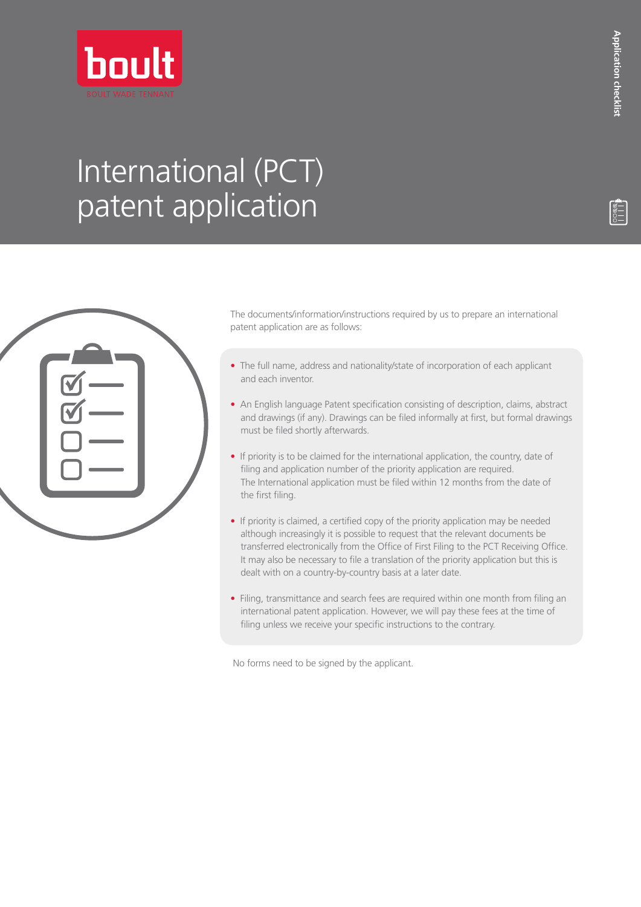

## International (PCT) patent application

| RR |  |
|----|--|
|    |  |
|    |  |
|    |  |

The documents/information/instructions required by us to prepare an international patent application are as follows:

- The full name, address and nationality/state of incorporation of each applicant and each inventor.
- An English language Patent specification consisting of description, claims, abstract and drawings (if any). Drawings can be filed informally at first, but formal drawings must be filed shortly afterwards.
- If priority is to be claimed for the international application, the country, date of filing and application number of the priority application are required. The International application must be filed within 12 months from the date of the first filing.
- If priority is claimed, a certified copy of the priority application may be needed although increasingly it is possible to request that the relevant documents be transferred electronically from the Office of First Filing to the PCT Receiving Office. It may also be necessary to file a translation of the priority application but this is dealt with on a country-by-country basis at a later date.
- Filing, transmittance and search fees are required within one month from filing an international patent application. However, we will pay these fees at the time of filing unless we receive your specific instructions to the contrary.

No forms need to be signed by the applicant.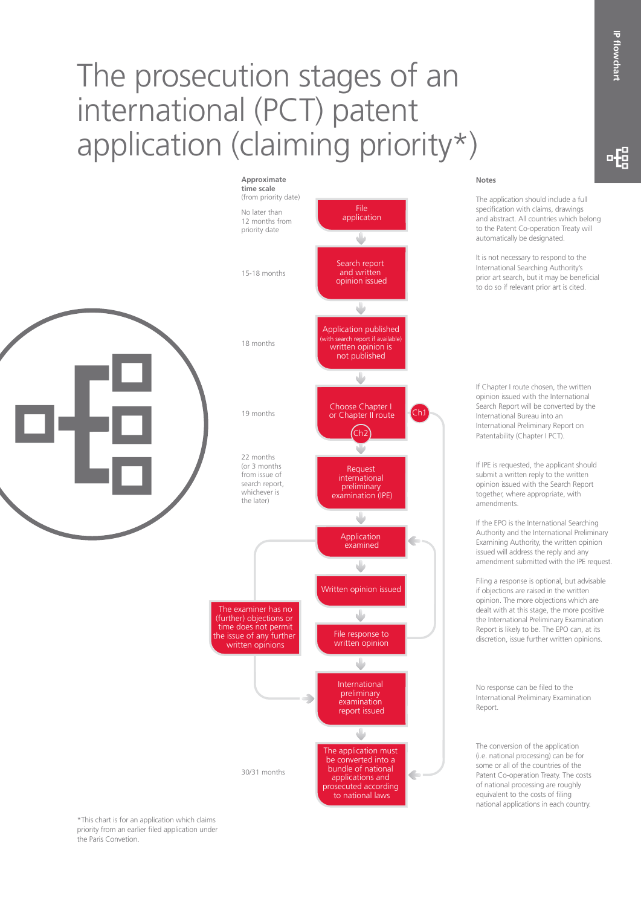## The prosecution stages of an international (PCT) patent application (claiming priority\*)



## **Notes**

The application should include a full specification with claims, drawings and abstract. All countries which belong to the Patent Co-operation Treaty will automatically be designated.

It is not necessary to respond to the International Searching Authority's prior art search, but it may be beneficial to do so if relevant prior art is cited.

If Chapter I route chosen, the written opinion issued with the International Search Report will be converted by the International Bureau into an International Preliminary Report on Patentability (Chapter I PCT).

If IPE is requested, the applicant should submit a written reply to the written opinion issued with the Search Report together, where appropriate, with amendments.

If the EPO is the International Searching Authority and the International Preliminary Examining Authority, the written opinion issued will address the reply and any amendment submitted with the IPE request.

Filing a response is optional, but advisable if objections are raised in the written opinion. The more objections which are dealt with at this stage, the more positive the International Preliminary Examination Report is likely to be. The EPO can, at its discretion, issue further written opinions.

No response can be filed to the International Preliminary Examination Report.

The conversion of the application (i.e. national processing) can be for some or all of the countries of the Patent Co-operation Treaty. The costs of national processing are roughly equivalent to the costs of filing national applications in each country.

-6

\*This chart is for an application which claims priority from an earlier filed application under

the Paris Convetion.